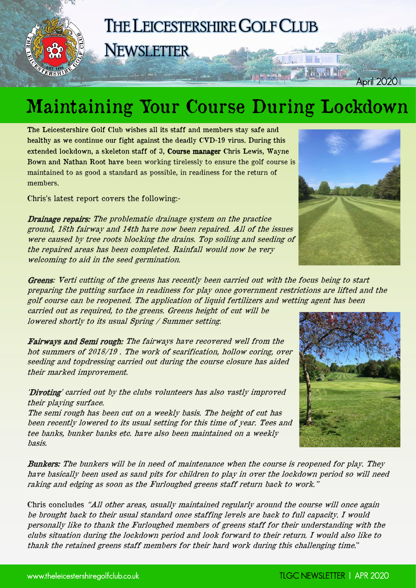

## Maintaining Your Course During Lockdown

The Leicestershire Golf Club wishes all its staff and members stay safe and healthy as we continue our fight against the deadly CVD-19 virus. During this extended lockdown, a skeleton staff of 3, Course manager Chris Lewis, Wayne Bown and Nathan Root have been working tirelessly to ensure the golf course is maintained to as good a standard as possible, in readiness for the return of members.

Chris's latest report covers the following:-

Drainage repairs: The problematic drainage system on the practice ground, 18th fairway and 14th have now been repaired. All of the issues were caused by tree roots blocking the drains. Top soiling and seeding of the repaired areas has been completed. Rainfall would now be very welcoming to aid in the seed germination.

Greens: Verti cutting of the greens has recently been carried out with the focus being to start preparing the putting surface in readiness for play once government restrictions are lifted and the golf course can be reopened. The application of liquid fertilizers and wetting agent has been

carried out as required, to the greens. Greens height of cut will be lowered shortly to its usual Spring / Summer setting.

Fairways and Semi rough: The fairways have recovered well from the hot summers of 2018/19 . The work of scarification, hollow coring, over seeding and topdressing carried out during the course closure has aided their marked improvement.

'Divoting' carried out by the clubs volunteers has also vastly improved their playing surface.

The semi rough has been cut on a weekly basis. The height of cut has been recently lowered to its usual setting for this time of year. Tees and tee banks, bunker banks etc. have also been maintained on a weekly basis.

Bunkers: The bunkers will be in need of maintenance when the course is reopened for play. They have basically been used as sand pits for children to play in over the lockdown period so will need raking and edging as soon as the Furloughed greens staff return back to work."

Chris concludes "All other areas, usually maintained regularly around the course will once again be brought back to their usual standard once staffing levels are back to full capacity. I would personally like to thank the Furloughed members of greens staff for their understanding with the clubs situation during the lockdown period and look forward to their return. I would also like to thank the retained greens staff members for their hard work during this challenging time."



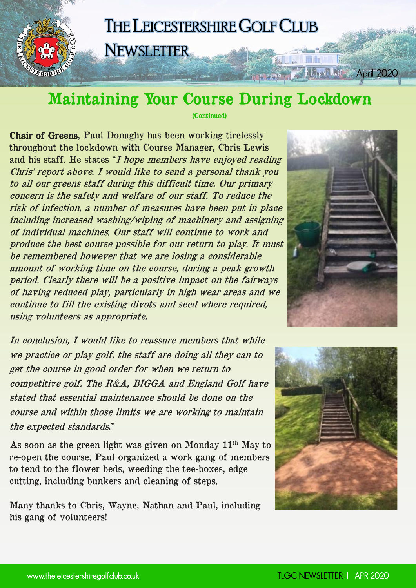#### THE LEICESTERSHIRE GOLF CLUB **NEWSLETTER**

#### Maintaining Your Course During Lockdown

(Continued)

Chair of Greens, Paul Donaghy has been working tirelessly throughout the lockdown with Course Manager, Chris Lewis and his staff. He states "I hope members have enjoyed reading Chris' report above. I would like to send a personal thank you to all our greens staff during this difficult time. Our primary concern is the safety and welfare of our staff. To reduce the risk of infection, a number of measures have been put in place including increased washing/wiping of machinery and assigning of individual machines. Our staff will continue to work and produce the best course possible for our return to play. It must be remembered however that we are losing a considerable amount of working time on the course, during a peak growth period. Clearly there will be a positive impact on the fairways of having reduced play, particularly in high wear areas and we continue to fill the existing divots and seed where required, using volunteers as appropriate.

In conclusion, I would like to reassure members that while we practice or play golf, the staff are doing all they can to get the course in good order for when we return to competitive golf. The R&A, BIGGA and England Golf have stated that essential maintenance should be done on the course and within those limits we are working to maintain the expected standards."

As soon as the green light was given on Monday 11<sup>th</sup> May to re-open the course, Paul organized a work gang of members to tend to the flower beds, weeding the tee-boxes, edge cutting, including bunkers and cleaning of steps.

Many thanks to Chris, Wayne, Nathan and Paul, including his gang of volunteers!



**No** 

**SADE TO A LANDAR** 

April 2020

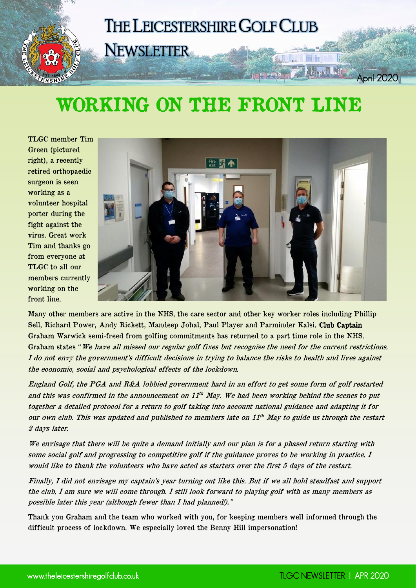

#### WORKING ON THE FRONT LINE

TLGC member Tim Green (pictured right), a recently retired orthopaedic surgeon is seen working as a volunteer hospital porter during the fight against the virus. Great work Tim and thanks go from everyone at TLGC to all our members currently working on the front line.



Many other members are active in the NHS, the care sector and other key worker roles including Phillip Sell, Richard Power, Andy Rickett, Mandeep Johal, Paul Player and Parminder Kalsi. Club Captain Graham Warwick semi-freed from golfing commitments has returned to a part time role in the NHS. Graham states "We have all missed our regular golf fixes but recognise the need for the current restrictions. I do not envy the government's difficult decisions in trying to balance the risks to health and lives against the economic, social and psychological effects of the lockdown.

England Golf, the PGA and R&A lobbied government hard in an effort to get some form of golf restarted and this was confirmed in the announcement on  $11^{th}$  May. We had been working behind the scenes to put together a detailed protocol for a return to golf taking into account national guidance and adapting it for our own club. This was updated and published to members late on 11th May to guide us through the restart 2 days later.

We envisage that there will be quite a demand initially and our plan is for a phased return starting with some social golf and progressing to competitive golf if the guidance proves to be working in practice. I would like to thank the volunteers who have acted as starters over the first 5 days of the restart.

Finally, I did not envisage my captain's year turning out like this. But if we all hold steadfast and support the club, I am sure we will come through. I still look forward to playing golf with as many members as possible later this year (although fewer than I had planned!)."

Thank you Graham and the team who worked with you, for keeping members well informed through the difficult process of lockdown. We especially loved the Benny Hill impersonation!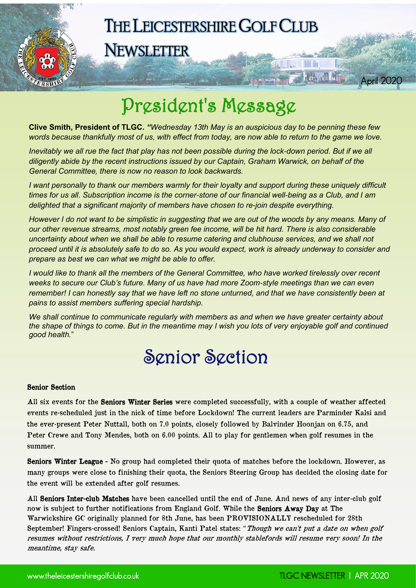

**NEWSLETTER** 

#### President's Message

**Clive Smith, President of TLGC.** *"Wednesday 13th May is an auspicious day to be penning these few words because thankfully most of us, with effect from today, are now able to return to the game we love.*

*Inevitably we all rue the fact that play has not been possible during the lock-down period. But if we all diligently abide by the recent instructions issued by our Captain, Graham Warwick, on behalf of the General Committee, there is now no reason to look backwards.*

*I want personally to thank our members warmly for their loyalty and support during these uniquely difficult times for us all. Subscription income is the corner-stone of our financial well-being as a Club, and I am delighted that a significant majority of members have chosen to re-join despite everything.*

*However I do not want to be simplistic in suggesting that we are out of the woods by any means. Many of our other revenue streams, most notably green fee income, will be hit hard. There is also considerable uncertainty about when we shall be able to resume catering and clubhouse services, and we shall not proceed until it is absolutely safe to do so. As you would expect, work is already underway to consider and prepare as best we can what we might be able to offer.*

*I would like to thank all the members of the General Committee, who have worked tirelessly over recent weeks to secure our Club's future. Many of us have had more Zoom-style meetings than we can even remember! I can honestly say that we have left no stone unturned, and that we have consistently been at pains to assist members suffering special hardship.*

*We shall continue to communicate regularly with members as and when we have greater certainty about the shape of things to come. But in the meantime may I wish you lots of very enjoyable golf and continued good health.*"

### Senior Section

#### Senior Section

ERSHI

All six events for the Seniors Winter Series were completed successfully, with a couple of weather affected events re-scheduled just in the nick of time before Lockdown! The current leaders are Parminder Kalsi and the ever-present Peter Nuttall, both on 7.0 points, closely followed by Balvinder Hoonjan on 6.75, and Peter Crewe and Tony Mendes, both on 6.00 points. All to play for gentlemen when golf resumes in the summer.

Seniors Winter League - No group had completed their quota of matches before the lockdown. However, as many groups were close to finishing their quota, the Seniors Steering Group has decided the closing date for the event will be extended after golf resumes.

All Seniors Inter-club Matches have been cancelled until the end of June. And news of any inter-club golf now is subject to further notifications from England Golf. While the Seniors Away Day at The Warwickshire GC originally planned for 8th June, has been PROVISIONALLY rescheduled for 28th September! Fingers-crossed! Seniors Captain, Kanti Patel states: "Though we can't put a date on when golf resumes without restrictions, I very much hope that our monthly stablefords will resume very soon! In the meantime, stay safe.

April 2020

**Harry Mit**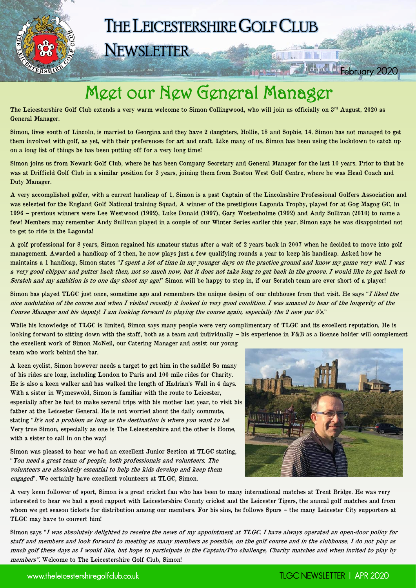THE LEICESTERSHIRE GOLF CLUB

**NEWSLETTER** 

u.

#### Meet our New General Manager

The Leicestershire Golf Club extends a very warm welcome to Simon Collingwood, who will join us officially on  $3<sup>rd</sup>$  August, 2020 as General Manager.

Simon, lives south of Lincoln, is married to Georgina and they have 2 daughters, Hollie, 18 and Sophie, 14. Simon has not managed to get them involved with golf, as yet, with their preferences for art and craft. Like many of us, Simon has been using the lockdown to catch up on a long list of things he has been putting off for a very long time!

Simon joins us from Newark Golf Club, where he has been Company Secretary and General Manager for the last 10 years. Prior to that he was at Driffield Golf Club in a similar position for 3 years, joining them from Boston West Golf Centre, where he was Head Coach and Duty Manager.

A very accomplished golfer, with a current handicap of 1, Simon is a past Captain of the Lincolnshire Professional Golfers Association and was selected for the England Golf National training Squad. A winner of the prestigious Lagonda Trophy, played for at Gog Magog GC, in 1996 – previous winners were Lee Westwood (1992), Luke Donald (1997), Gary Wostenholme (1992) and Andy Sullivan (2010) to name a few! Members may remember Andy Sullivan played in a couple of our Winter Series earlier this year. Simon says he was disappointed not to get to ride in the Lagonda!

A golf professional for 8 years, Simon regained his amateur status after a wait of 2 years back in 2007 when he decided to move into golf management. Awarded a handicap of 2 then, he now plays just a few qualifying rounds a year to keep his handicap. Asked how he maintains a 1 handicap, Simon states "I spent a lot of time in my younger days on the practice ground and know my game very well. I was a very good chipper and putter back then, not so much now, but it does not take long to get back in the groove. I would like to get back to Scratch and my ambition is to one day shoot my age!" Simon will be happy to step in, if our Scratch team are ever short of a player!

Simon has played TLGC just once, sometime ago and remembers the unique design of our clubhouse from that visit. He says "I liked the nice undulation of the course and when I visited recently it looked in very good condition. I was amazed to hear of the longevity of the Course Manager and his deputy! I am looking forward to playing the course again, especially the 2 new par 5's."

While his knowledge of TLGC is limited, Simon says many people were very complimentary of TLGC and its excellent reputation. He is looking forward to sitting down with the staff, both as a team and individually – his experience in F&B as a licence holder will complement the excellent work of Simon McNeil, our Catering Manager and assist our young team who work behind the bar.

A keen cyclist, Simon however needs a target to get him in the saddle! So many of his rides are long, including London to Paris and 100 mile rides for Charity. He is also a keen walker and has walked the length of Hadrian's Wall in 4 days. With a sister in Wymeswold, Simon is familiar with the route to Leicester, especially after he had to make several trips with his mother last year, to visit his father at the Leicester General. He is not worried about the daily commute, stating "It's not a problem as long as the destination is where you want to be! Very true Simon, especially as one is The Leicestershire and the other is Home, with a sister to call in on the way!

Simon was pleased to hear we had an excellent Junior Section at TLGC stating, "You need a great team of people, both professionals and volunteers. The volunteers are absolutely essential to help the kids develop and keep them engaged". We certainly have excellent volunteers at TLGC, Simon.

A very keen follower of sport, Simon is a great cricket fan who has been to many international matches at Trent Bridge. He was very interested to hear we had a good rapport with Leicestershire County cricket and the Leicester Tigers, the annual golf matches and from whom we get season tickets for distribution among our members. For his sins, he follows Spurs – the many Leicester City supporters at TLGC may have to convert him!

Simon says "I was absolutely delighted to receive the news of my appointment at TLGC. I have always operated an open-door policy for staff and members and look forward to meeting as many members as possible, on the golf course and in the clubhouse. I do not play as much golf these days as I would like, but hope to participate in the Captain/Pro challenge, Charity matches and when invited to play by members". Welcome to The Leicestershire Golf Club, Simon!



**February 2020** 

**College Hills Reserved**